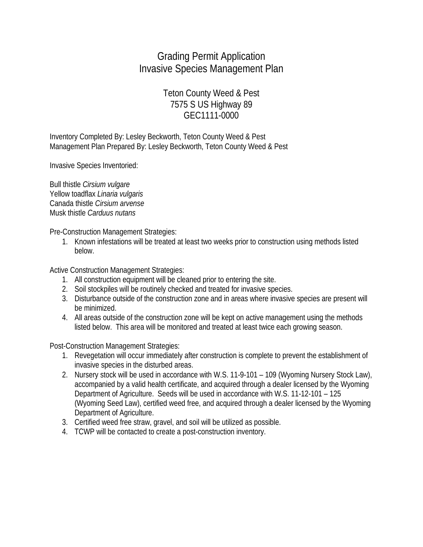## Grading Permit Application Invasive Species Management Plan

## Teton County Weed & Pest 7575 S US Highway 89 GEC1111-0000

Inventory Completed By: Lesley Beckworth, Teton County Weed & Pest Management Plan Prepared By: Lesley Beckworth, Teton County Weed & Pest

Invasive Species Inventoried:

Bull thistle *Cirsium vulgare* Yellow toadflax *Linaria vulgaris* Canada thistle *Cirsium arvense* Musk thistle *Carduus nutans*

Pre-Construction Management Strategies:

1. Known infestations will be treated at least two weeks prior to construction using methods listed below.

Active Construction Management Strategies:

- 1. All construction equipment will be cleaned prior to entering the site.
- 2. Soil stockpiles will be routinely checked and treated for invasive species.
- 3. Disturbance outside of the construction zone and in areas where invasive species are present will be minimized.
- 4. All areas outside of the construction zone will be kept on active management using the methods listed below. This area will be monitored and treated at least twice each growing season.

Post-Construction Management Strategies:

- 1. Revegetation will occur immediately after construction is complete to prevent the establishment of invasive species in the disturbed areas.
- 2. Nursery stock will be used in accordance with W.S. 11-9-101 109 (Wyoming Nursery Stock Law), accompanied by a valid health certificate, and acquired through a dealer licensed by the Wyoming Department of Agriculture. Seeds will be used in accordance with W.S. 11-12-101 – 125 (Wyoming Seed Law), certified weed free, and acquired through a dealer licensed by the Wyoming Department of Agriculture.
- 3. Certified weed free straw, gravel, and soil will be utilized as possible.
- 4. TCWP will be contacted to create a post-construction inventory.